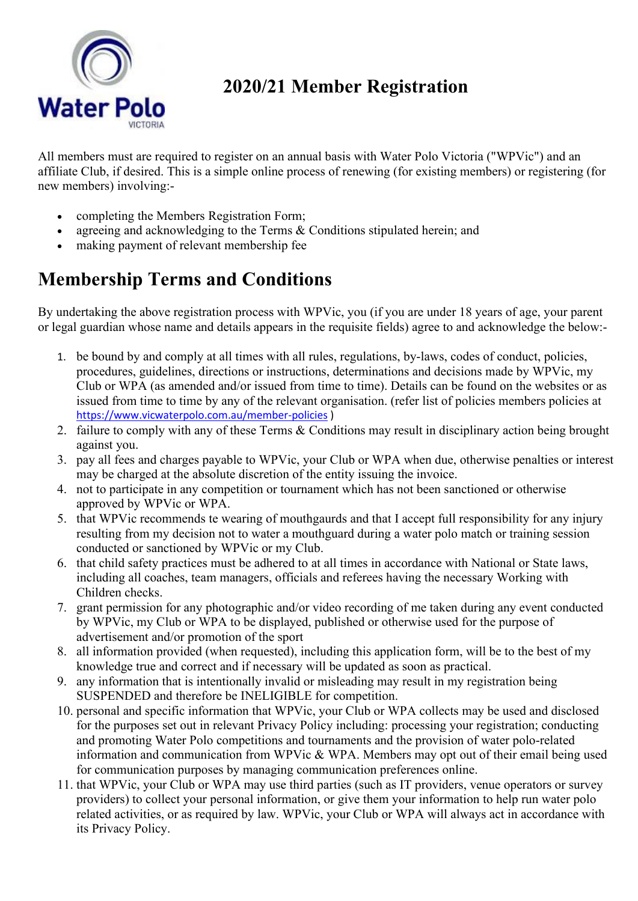

## **2020/21 Member Registration**

All members must are required to register on an annual basis with Water Polo Victoria ("WPVic") and an affiliate Club, if desired. This is a simple online process of renewing (for existing members) or registering (for new members) involving:-

- completing the Members Registration Form;
- agreeing and acknowledging to the Terms & Conditions stipulated herein; and
- making payment of relevant membership fee

## **Membership Terms and Conditions**

By undertaking the above registration process with WPVic, you (if you are under 18 years of age, your parent or legal guardian whose name and details appears in the requisite fields) agree to and acknowledge the below:-

- 1. be bound by and comply at all times with all rules, regulations, by-laws, codes of conduct, policies, procedures, guidelines, directions or instructions, determinations and decisions made by WPVic, my Club or WPA (as amended and/or issued from time to time). Details can be found on the websites or as issued from time to time by any of the relevant organisation. (refer list of policies members policies at <https://www.vicwaterpolo.com.au/member-policies> )
- 2. failure to comply with any of these Terms & Conditions may result in disciplinary action being brought against you.
- 3. pay all fees and charges payable to WPVic, your Club or WPA when due, otherwise penalties or interest may be charged at the absolute discretion of the entity issuing the invoice.
- 4. not to participate in any competition or tournament which has not been sanctioned or otherwise approved by WPVic or WPA.
- 5. that WPVic recommends te wearing of mouthgaurds and that I accept full responsibility for any injury resulting from my decision not to water a mouthguard during a water polo match or training session conducted or sanctioned by WPVic or my Club.
- 6. that child safety practices must be adhered to at all times in accordance with National or State laws, including all coaches, team managers, officials and referees having the necessary Working with Children checks.
- 7. grant permission for any photographic and/or video recording of me taken during any event conducted by WPVic, my Club or WPA to be displayed, published or otherwise used for the purpose of advertisement and/or promotion of the sport
- 8. all information provided (when requested), including this application form, will be to the best of my knowledge true and correct and if necessary will be updated as soon as practical.
- 9. any information that is intentionally invalid or misleading may result in my registration being SUSPENDED and therefore be INELIGIBLE for competition.
- 10. personal and specific information that WPVic, your Club or WPA collects may be used and disclosed for the purposes set out in relevant Privacy Policy including: processing your registration; conducting and promoting Water Polo competitions and tournaments and the provision of water polo-related information and communication from WPVic & WPA. Members may opt out of their email being used for communication purposes by managing communication preferences online.
- 11. that WPVic, your Club or WPA may use third parties (such as IT providers, venue operators or survey providers) to collect your personal information, or give them your information to help run water polo related activities, or as required by law. WPVic, your Club or WPA will always act in accordance with its Privacy Policy.